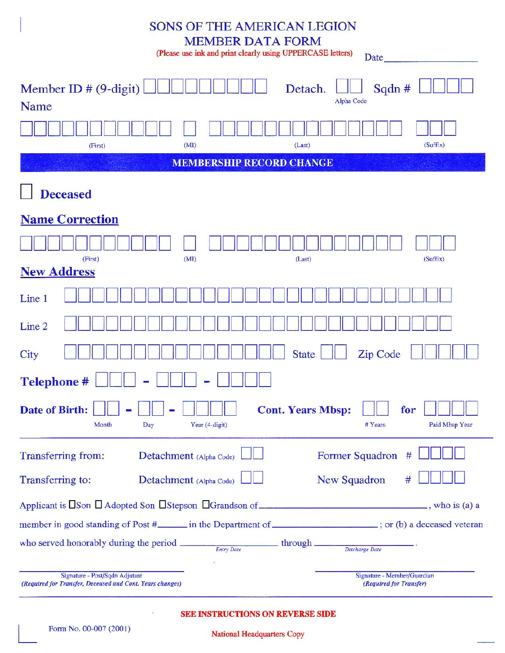| <b>SONS OF THE AMERICAN LEGION</b><br><b>MEMBER DATA FORM</b><br>(Please use ink and print clearly using UPPERCASE letters)<br>Date_                                                                                           |
|--------------------------------------------------------------------------------------------------------------------------------------------------------------------------------------------------------------------------------|
| Member ID $# (9-digit)$<br>Sqdn #<br>Detach.<br>Alpha Code<br>Name                                                                                                                                                             |
| (Suffix)<br>(MI)<br>(Last)<br>(First)                                                                                                                                                                                          |
| <b>MEMBERSHIP RECORD CHANGE</b>                                                                                                                                                                                                |
| <b>Deceased</b>                                                                                                                                                                                                                |
| <b>Name Correction</b>                                                                                                                                                                                                         |
| (First)<br>(MI)<br>(Suffix)<br>(Last)                                                                                                                                                                                          |
| <b>New Address</b>                                                                                                                                                                                                             |
| Line 1                                                                                                                                                                                                                         |
| Line 2                                                                                                                                                                                                                         |
| <b>State</b><br>Zip Code<br>City                                                                                                                                                                                               |
| <b>Telephone#</b>                                                                                                                                                                                                              |
| Date of Birth:<br><b>Cont. Years Mbsp:</b><br>for<br>Year (4-digit)<br>Paid Mbsp Year<br>Month<br># Years<br>Day                                                                                                               |
| Former Squadron<br>Transferring from:<br>Detachment (Alpha Code)<br>#                                                                                                                                                          |
| <b>New Squadron</b><br>Transferring to:<br>Detachment (Alpha Code)<br>#                                                                                                                                                        |
|                                                                                                                                                                                                                                |
| member in good standing of Post # second the Department of  second veteran in the Department of  second veteran in the Department of  second veteran in the Department of  second veteran in the Department of  second veteran |
| who served honorably during the period $\frac{E_{\text{mtry}\, \text{Date}}}{E_{\text{mtry}\, \text{Date}}}$ through $\frac{Disscharge\, \text{Date}}{Disscharge\, \text{Date}}$                                               |
| Signature - Post/Sqdn Adjutant<br>Signature - Member/Guardian<br>(Required for Transfer, Deceased and Cont. Years changes)<br>(Required for Transfer)                                                                          |

SEE INSTRUCTIONS ON REVERSE SIDE

 $\hat{V}$ 

National Headquarters Copy